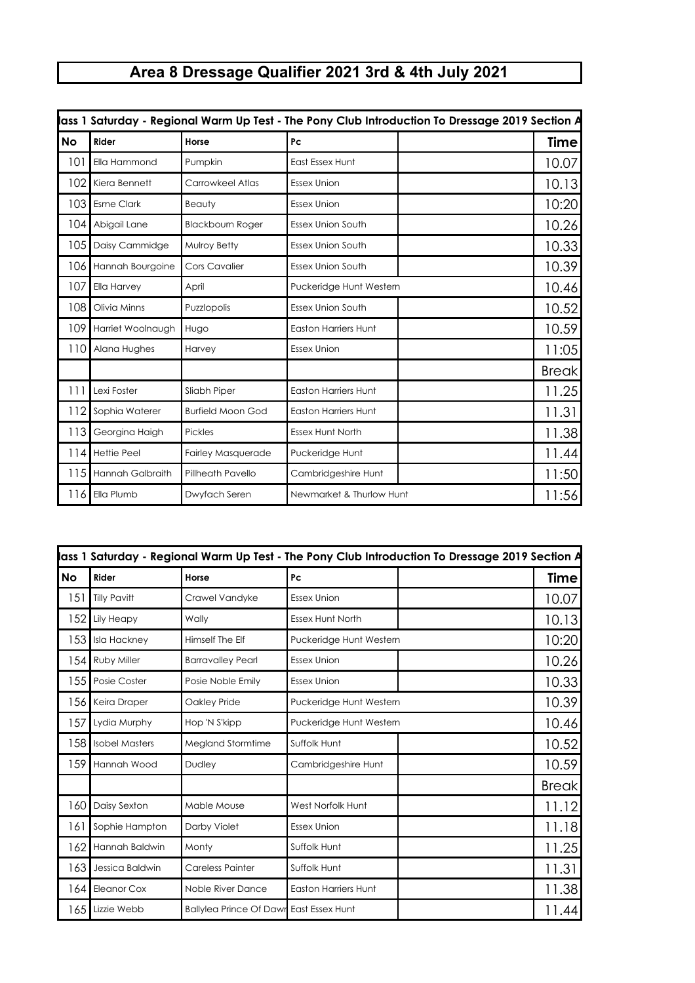## **Area 8 Dressage Qualifier 2021 3rd & 4th July 2021**

| lass 1 Saturday - Regional Warm Up Test - The Pony Club Introduction To Dressage 2019 Section A |                         |                          |                             |              |  |
|-------------------------------------------------------------------------------------------------|-------------------------|--------------------------|-----------------------------|--------------|--|
| No                                                                                              | Rider                   | Horse                    | Pc                          | <b>Time</b>  |  |
| 101                                                                                             | Ella Hammond            | Pumpkin                  | <b>East Essex Hunt</b>      | 10.07        |  |
| 102                                                                                             | Kiera Bennett           | Carrowkeel Atlas         | <b>Essex Union</b>          | 10.13        |  |
| 103                                                                                             | <b>Esme Clark</b>       | Beauty                   | <b>Essex Union</b>          | 10:20        |  |
| 104                                                                                             | Abigail Lane            | <b>Blackbourn Roger</b>  | <b>Essex Union South</b>    | 10.26        |  |
| 105                                                                                             | Daisy Cammidge          | Mulroy Betty             | Essex Union South           | 10.33        |  |
| 106                                                                                             | Hannah Bourgoine        | <b>Cors Cavalier</b>     | <b>Essex Union South</b>    | 10.39        |  |
| 107                                                                                             | Ella Harvey             | April                    | Puckeridge Hunt Western     | 10.46        |  |
| 108                                                                                             | Olivia Minns            | Puzzlopolis              | <b>Essex Union South</b>    | 10.52        |  |
| 109                                                                                             | Harriet Woolnaugh       | Hugo                     | <b>Easton Harriers Hunt</b> | 10.59        |  |
| 110                                                                                             | Alana Hughes            | Harvey                   | <b>Essex Union</b>          | 11:05        |  |
|                                                                                                 |                         |                          |                             | <b>Break</b> |  |
| 111                                                                                             | Lexi Foster             | Sliabh Piper             | <b>Easton Harriers Hunt</b> | 11.25        |  |
| 112                                                                                             | Sophia Waterer          | <b>Burfield Moon God</b> | <b>Easton Harriers Hunt</b> | 11.31        |  |
| 113                                                                                             | Georgina Haigh          | <b>Pickles</b>           | <b>Essex Hunt North</b>     | 11.38        |  |
| 114                                                                                             | Hettie Peel             | Fairley Masquerade       | Puckeridge Hunt             | 11.44        |  |
| 115                                                                                             | <b>Hannah Galbraith</b> | Pillheath Pavello        | Cambridgeshire Hunt         | 11:50        |  |
| 116                                                                                             | Ella Plumb              | Dwyfach Seren            | Newmarket & Thurlow Hunt    | 11:56        |  |

| lass 1 Saturday - Regional Warm Up Test - The Pony Club Introduction To Dressage 2019 Section A |                       |                                                |                             |              |  |
|-------------------------------------------------------------------------------------------------|-----------------------|------------------------------------------------|-----------------------------|--------------|--|
| No                                                                                              | Rider                 | Horse                                          | Pc                          | Time         |  |
| 151                                                                                             | <b>Tilly Pavitt</b>   | Crawel Vandyke                                 | <b>Essex Union</b>          | 10.07        |  |
| 152                                                                                             | Lily Heapy            | Wally                                          | <b>Essex Hunt North</b>     | 10.13        |  |
| 1531                                                                                            | <b>Isla Hackney</b>   | Himself The Elf                                | Puckeridge Hunt Western     | 10:20        |  |
| 1541                                                                                            | <b>Ruby Miller</b>    | <b>Barravalley Pearl</b>                       | <b>Essex Union</b>          | 10.26        |  |
| 155                                                                                             | Posie Coster          | Posie Noble Emily                              | <b>Essex Union</b>          | 10.33        |  |
| 156                                                                                             | Keira Draper          | Oakley Pride                                   | Puckeridge Hunt Western     | 10.39        |  |
| 157                                                                                             | Lydia Murphy          | Hop 'N S'kipp                                  | Puckeridge Hunt Western     | 10.46        |  |
| 158                                                                                             | <b>Isobel Masters</b> | Megland Stormtime                              | Suffolk Hunt                | 10.52        |  |
| 159                                                                                             | Hannah Wood           | Dudley                                         | Cambridgeshire Hunt         | 10.59        |  |
|                                                                                                 |                       |                                                |                             | <b>Break</b> |  |
| 160                                                                                             | Daisy Sexton          | Mable Mouse                                    | West Norfolk Hunt           | 11.12        |  |
| 161                                                                                             | Sophie Hampton        | Darby Violet                                   | <b>Essex Union</b>          | 11.18        |  |
| 162                                                                                             | Hannah Baldwin        | Monty                                          | Suffolk Hunt                | 11.25        |  |
| 163                                                                                             | Jessica Baldwin       | <b>Careless Painter</b>                        | Suffolk Hunt                | 11.31        |  |
| 164                                                                                             | <b>Eleanor Cox</b>    | Noble River Dance                              | <b>Easton Harriers Hunt</b> | 11.38        |  |
| 165                                                                                             | Lizzie Webb           | <b>Ballylea Prince Of Dawr East Essex Hunt</b> |                             | 11.44        |  |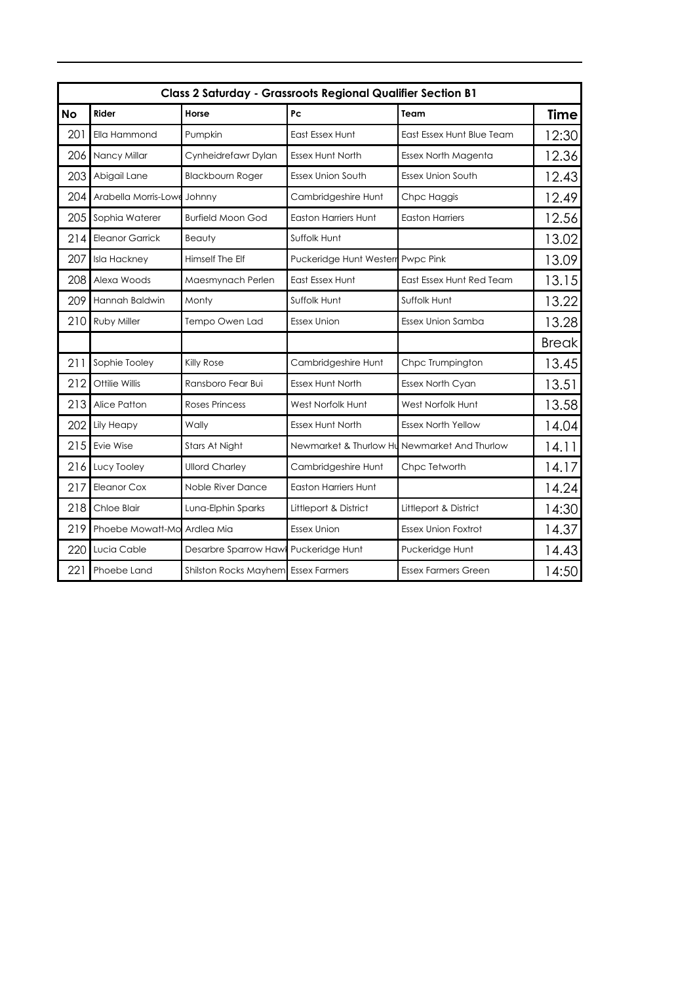|           | <b>Class 2 Saturday - Grassroots Regional Qualifier Section B1</b> |                                     |                                   |                            |              |  |  |
|-----------|--------------------------------------------------------------------|-------------------------------------|-----------------------------------|----------------------------|--------------|--|--|
| <b>No</b> | Rider                                                              | Horse                               | Pc                                | Team                       | <b>Time</b>  |  |  |
| 201       | Ella Hammond                                                       | Pumpkin                             | East Essex Hunt                   | East Essex Hunt Blue Team  | 12:30        |  |  |
| 206       | Nancy Millar                                                       | Cynheidrefawr Dylan                 | Essex Hunt North                  | Essex North Magenta        | 12.36        |  |  |
| 203       | Abigail Lane                                                       | <b>Blackbourn Roger</b>             | <b>Essex Union South</b>          | <b>Essex Union South</b>   | 12.43        |  |  |
| 204       | Arabella Morris-Lowe                                               | Johnny                              | Cambridgeshire Hunt               | Chpc Haggis                | 12.49        |  |  |
| 205       | Sophia Waterer                                                     | <b>Burfield Moon God</b>            | <b>Easton Harriers Hunt</b>       | <b>Easton Harriers</b>     | 12.56        |  |  |
| 214       | <b>Eleanor Garrick</b>                                             | <b>Beauty</b>                       | Suffolk Hunt                      |                            | 13.02        |  |  |
| 207       | <b>Isla Hackney</b>                                                | Himself The Elf                     | Puckeridge Hunt Westerr Pwpc Pink |                            | 13.09        |  |  |
| 208       | Alexa Woods                                                        | Maesmynach Perlen                   | East Essex Hunt                   | East Essex Hunt Red Team   | 13.15        |  |  |
| 209       | Hannah Baldwin                                                     | Monty                               | Suffolk Hunt                      | Suffolk Hunt               | 13.22        |  |  |
| 210       | Ruby Miller                                                        | Tempo Owen Lad                      | <b>Essex Union</b>                | Essex Union Samba          | 13.28        |  |  |
|           |                                                                    |                                     |                                   |                            | <b>Break</b> |  |  |
| 211       | Sophie Tooley                                                      | <b>Killy Rose</b>                   | Cambridgeshire Hunt               | Chpc Trumpington           | 13.45        |  |  |
| 212       | Ottilie Willis                                                     | Ransboro Fear Bui                   | <b>Essex Hunt North</b>           | Essex North Cyan           | 13.51        |  |  |
| 213       | Alice Patton                                                       | <b>Roses Princess</b>               | West Norfolk Hunt                 | West Norfolk Hunt          | 13.58        |  |  |
| 202       | Lily Heapy                                                         | Wally                               | Essex Hunt North                  | <b>Essex North Yellow</b>  | 14.04        |  |  |
| 215       | Evie Wise                                                          | Stars At Night                      | Newmarket & Thurlow Hu            | Newmarket And Thurlow      | 14.11        |  |  |
| 216       | Lucy Tooley                                                        | <b>Ullord Charley</b>               | Cambridgeshire Hunt               | Chpc Tetworth              | 14.17        |  |  |
| 217       | Eleanor Cox                                                        | Noble River Dance                   | <b>Easton Harriers Hunt</b>       |                            | 14.24        |  |  |
| 218       | Chloe Blair                                                        | Luna-Elphin Sparks                  | Littleport & District             | Littleport & District      | 14:30        |  |  |
| 219       | Phoebe Mowatt-Mo                                                   | Ardlea Mia                          | <b>Essex Union</b>                | <b>Essex Union Foxtrot</b> | 14.37        |  |  |
| 220       | Lucia Cable                                                        | Desarbre Sparrow Haw                | Puckeridge Hunt                   | Puckeridge Hunt            | 14.43        |  |  |
| 221       | Phoebe Land                                                        | Shilston Rocks Mayhem Essex Farmers |                                   | <b>Essex Farmers Green</b> | 14:50        |  |  |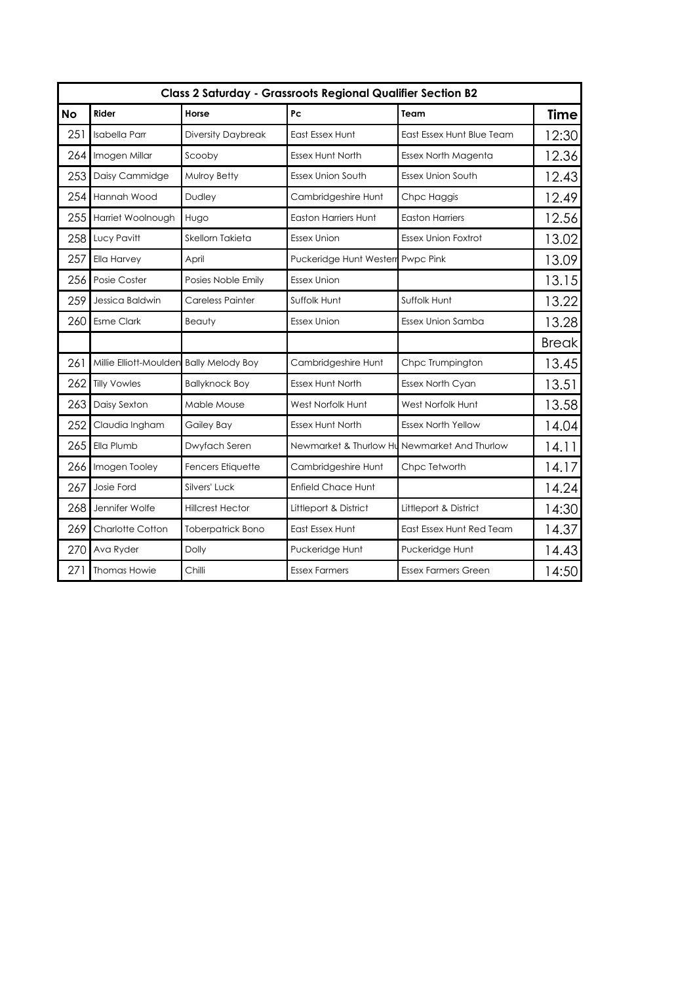|           | <b>Class 2 Saturday - Grassroots Regional Qualifier Section B2</b> |                           |                             |                            |              |  |
|-----------|--------------------------------------------------------------------|---------------------------|-----------------------------|----------------------------|--------------|--|
| <b>No</b> | Rider                                                              | Horse                     | Pc                          | Team                       | <b>Time</b>  |  |
| 251       | <b>Isabella Parr</b>                                               | <b>Diversity Daybreak</b> | East Essex Hunt             | East Essex Hunt Blue Team  | 12:30        |  |
| 264       | Imogen Millar                                                      | Scooby                    | <b>Essex Hunt North</b>     | Essex North Magenta        | 12.36        |  |
| 253       | Daisy Cammidge                                                     | Mulroy Betty              | <b>Essex Union South</b>    | <b>Essex Union South</b>   | 12.43        |  |
| 254       | Hannah Wood                                                        | <b>Dudley</b>             | Cambridgeshire Hunt         | Chpc Haggis                | 12.49        |  |
| 255       | Harriet Woolnough                                                  | Hugo                      | <b>Easton Harriers Hunt</b> | <b>Easton Harriers</b>     | 12.56        |  |
| 258       | Lucy Pavitt                                                        | Skellorn Takieta          | <b>Essex Union</b>          | <b>Essex Union Foxtrot</b> | 13.02        |  |
| 257       | Ella Harvey                                                        | April                     | Puckeridge Hunt Westerr     | Pwpc Pink                  | 13.09        |  |
| 256       | Posie Coster                                                       | Posies Noble Emily        | <b>Essex Union</b>          |                            | 13.15        |  |
| 259       | Jessica Baldwin                                                    | <b>Careless Painter</b>   | Suffolk Hunt                | Suffolk Hunt               | 13.22        |  |
| 260       | <b>Esme Clark</b>                                                  | Beauty                    | <b>Essex Union</b>          | <b>Essex Union Samba</b>   | 13.28        |  |
|           |                                                                    |                           |                             |                            | <b>Break</b> |  |
| 261       | Millie Elliott-Moulden Bally Melody Boy                            |                           | Cambridgeshire Hunt         | Chpc Trumpington           | 13.45        |  |
| 262       | <b>Tilly Vowles</b>                                                | <b>Ballyknock Boy</b>     | <b>Essex Hunt North</b>     | Essex North Cyan           | 13.51        |  |
| 263       | Daisy Sexton                                                       | Mable Mouse               | West Norfolk Hunt           | West Norfolk Hunt          | 13.58        |  |
| 252       | Claudia Ingham                                                     | Gailey Bay                | <b>Essex Hunt North</b>     | <b>Essex North Yellow</b>  | 14.04        |  |
| 265       | Ella Plumb                                                         | Dwyfach Seren             | Newmarket & Thurlow Hu      | Newmarket And Thurlow      | 14.11        |  |
| 266       | Imogen Tooley                                                      | <b>Fencers Etiquette</b>  | Cambridgeshire Hunt         | Chpc Tetworth              | 14.17        |  |
| 267       | Josie Ford                                                         | Silvers' Luck             | <b>Enfield Chace Hunt</b>   |                            | 14.24        |  |
| 268       | Jennifer Wolfe                                                     | <b>Hillcrest Hector</b>   | Littleport & District       | Littleport & District      | 14:30        |  |
| 269       | Charlotte Cotton                                                   | <b>Toberpatrick Bono</b>  | <b>East Essex Hunt</b>      | East Essex Hunt Red Team   | 14.37        |  |
| 270       | Ava Ryder                                                          | Dolly                     | Puckeridge Hunt             | Puckeridge Hunt            | 14.43        |  |
| 271       | <b>Thomas Howie</b>                                                | Chilli                    | <b>Essex Farmers</b>        | <b>Essex Farmers Green</b> | 14:50        |  |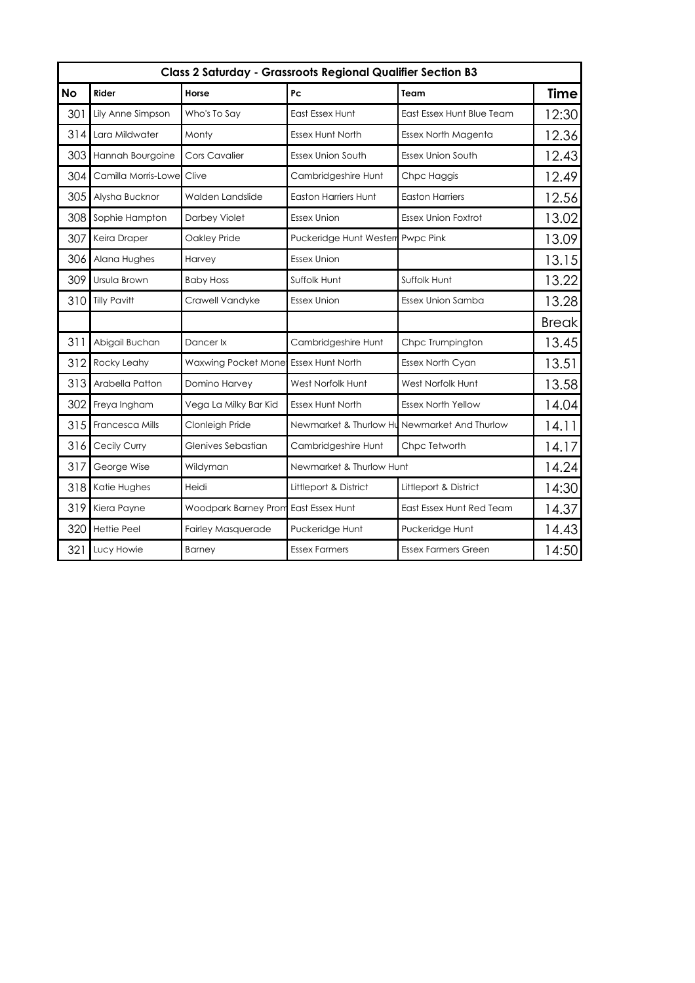| <b>Class 2 Saturday - Grassroots Regional Qualifier Section B3</b> |                     |                                      |                             |                                              |              |
|--------------------------------------------------------------------|---------------------|--------------------------------------|-----------------------------|----------------------------------------------|--------------|
| <b>No</b>                                                          | <b>Rider</b>        | Horse                                | Pc                          | Team                                         | <b>Time</b>  |
| 301                                                                | Lily Anne Simpson   | Who's To Say                         | East Essex Hunt             | East Essex Hunt Blue Team                    | 12:30        |
| 314                                                                | Lara Mildwater      | Monty                                | Essex Hunt North            | Essex North Magenta                          | 12.36        |
| 303                                                                | Hannah Bourgoine    | Cors Cavalier                        | <b>Essex Union South</b>    | Essex Union South                            | 12.43        |
| 304                                                                | Camilla Morris-Lowe | Clive                                | Cambridgeshire Hunt         | Chpc Haggis                                  | 12.49        |
| 305                                                                | Alysha Bucknor      | Walden Landslide                     | <b>Easton Harriers Hunt</b> | <b>Easton Harriers</b>                       | 12.56        |
| 308                                                                | Sophie Hampton      | Darbey Violet                        | <b>Essex Union</b>          | <b>Essex Union Foxtrot</b>                   | 13.02        |
| 307                                                                | Keira Draper        | Oakley Pride                         | Puckeridge Hunt Wester      | <b>Pwpc Pink</b>                             | 13.09        |
| 306                                                                | Alana Hughes        | Harvey                               | <b>Essex Union</b>          |                                              | 13.15        |
| 309                                                                | Ursula Brown        | <b>Baby Hoss</b>                     | Suffolk Hunt                | Suffolk Hunt                                 | 13.22        |
| 310                                                                | <b>Tilly Pavitt</b> | Crawell Vandyke                      | <b>Essex Union</b>          | Essex Union Samba                            | 13.28        |
|                                                                    |                     |                                      |                             |                                              | <b>Break</b> |
| 311                                                                | Abigail Buchan      | Dancer Ix                            | Cambridgeshire Hunt         | Chpc Trumpington                             | 13.45        |
| 312                                                                | Rocky Leahy         | Waxwing Pocket Mone Essex Hunt North |                             | Essex North Cyan                             | 13.51        |
| 313                                                                | Arabella Patton     | Domino Harvey                        | West Norfolk Hunt           | West Norfolk Hunt                            | 13.58        |
| 302                                                                | Freya Ingham        | Vega La Milky Bar Kid                | <b>Essex Hunt North</b>     | <b>Essex North Yellow</b>                    | 14.04        |
| 315                                                                | Francesca Mills     | Clonleigh Pride                      |                             | Newmarket & Thurlow Hu Newmarket And Thurlow | 14.11        |
| 316                                                                | Cecily Curry        | Glenives Sebastian                   | Cambridgeshire Hunt         | Chpc Tetworth                                | 14.17        |
| 317                                                                | George Wise         | Wildyman                             | Newmarket & Thurlow Hunt    |                                              | 14.24        |
| 318                                                                | Katie Hughes        | Heidi                                | Littleport & District       | Littleport & District                        | 14:30        |
| 319                                                                | Kiera Payne         | Woodpark Barney Prom East Essex Hunt |                             | East Essex Hunt Red Team                     | 14.37        |
| 320                                                                | <b>Hettie Peel</b>  | <b>Fairley Masquerade</b>            | Puckeridge Hunt             | Puckeridge Hunt                              | 14.43        |
| 321                                                                | Lucy Howie          | <b>Barney</b>                        | <b>Essex Farmers</b>        | <b>Essex Farmers Green</b>                   | 14:50        |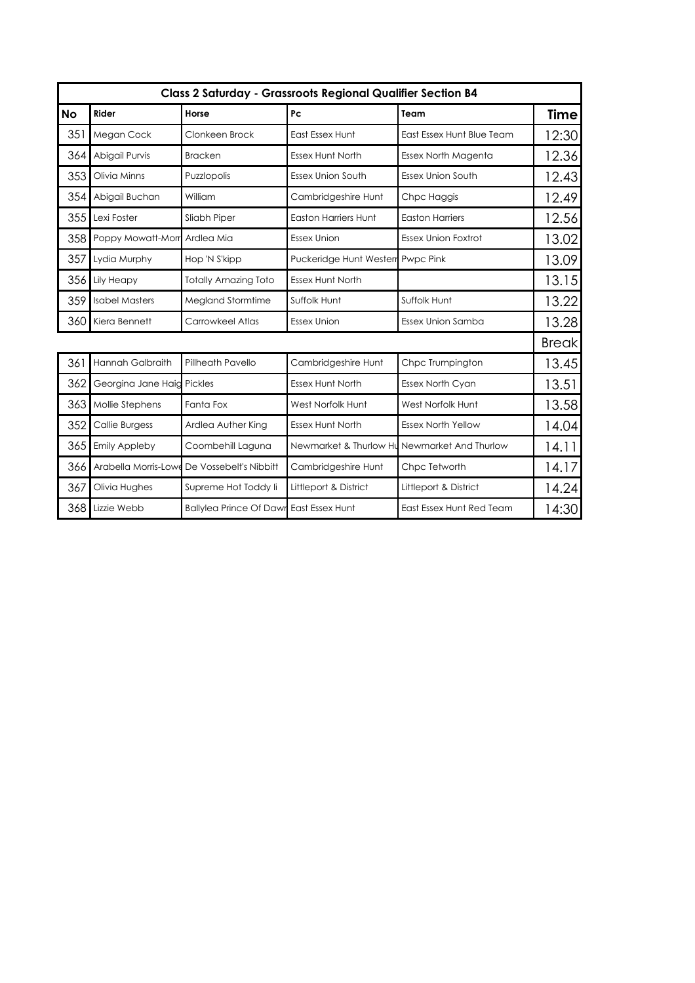|           | <b>Class 2 Saturday - Grassroots Regional Qualifier Section B4</b> |                                                |                             |                            |              |  |
|-----------|--------------------------------------------------------------------|------------------------------------------------|-----------------------------|----------------------------|--------------|--|
| <b>No</b> | Rider                                                              | Horse                                          | Pc                          | Team                       | <b>Time</b>  |  |
| 351       | Megan Cock                                                         | Clonkeen Brock                                 | East Essex Hunt             | East Essex Hunt Blue Team  | 12:30        |  |
| 364       | Abigail Purvis                                                     | <b>Bracken</b>                                 | <b>Essex Hunt North</b>     | Essex North Magenta        | 12.36        |  |
| 353       | Olivia Minns                                                       | Puzzlopolis                                    | <b>Essex Union South</b>    | <b>Essex Union South</b>   | 12.43        |  |
| 354       | Abigail Buchan                                                     | William                                        | Cambridgeshire Hunt         | Chpc Haggis                | 12.49        |  |
| 355       | Lexi Foster                                                        | Sliabh Piper                                   | <b>Easton Harriers Hunt</b> | <b>Easton Harriers</b>     | 12.56        |  |
| 358       | Poppy Mowatt-Morr Ardlea Mia                                       |                                                | <b>Essex Union</b>          | <b>Essex Union Foxtrot</b> | 13.02        |  |
| 357       | Lydia Murphy                                                       | Hop 'N S'kipp                                  | Puckeridge Hunt Westerr     | Pwpc Pink                  | 13.09        |  |
| 356       | Lily Heapy                                                         | <b>Totally Amazing Toto</b>                    | <b>Essex Hunt North</b>     |                            | 13.15        |  |
| 359       | <b>Isabel Masters</b>                                              | <b>Megland Stormtime</b>                       | Suffolk Hunt                | Suffolk Hunt               | 13.22        |  |
| 360       | Kiera Bennett                                                      | Carrowkeel Atlas                               | <b>Essex Union</b>          | Essex Union Samba          | 13.28        |  |
|           |                                                                    |                                                |                             |                            | <b>Break</b> |  |
| 361       | <b>Hannah Galbraith</b>                                            | Pillheath Pavello                              | Cambridgeshire Hunt         | Chpc Trumpington           | 13.45        |  |
| 362       | Georgina Jane Haig Pickles                                         |                                                | <b>Essex Hunt North</b>     | <b>Essex North Cyan</b>    | 13.51        |  |
| 363       | Mollie Stephens                                                    | Fanta Fox                                      | West Norfolk Hunt           | West Norfolk Hunt          | 13.58        |  |
| 352       | Callie Burgess                                                     | Ardlea Auther King                             | <b>Essex Hunt North</b>     | <b>Essex North Yellow</b>  | 14.04        |  |
| 365       | <b>Emily Appleby</b>                                               | Coombehill Laguna                              | Newmarket & Thurlow Hu      | Newmarket And Thurlow      | 14.11        |  |
| 366       | Arabella Morris-Lowe                                               | De Vossebelt's Nibbitt                         | Cambridgeshire Hunt         | Chpc Tetworth              | 14.17        |  |
| 367       | Olivia Hughes                                                      | Supreme Hot Toddy li                           | Littleport & District       | Littleport & District      | 14.24        |  |
| 368       | Lizzie Webb                                                        | <b>Ballylea Prince Of Dawr East Essex Hunt</b> |                             | East Essex Hunt Red Team   | 14:30        |  |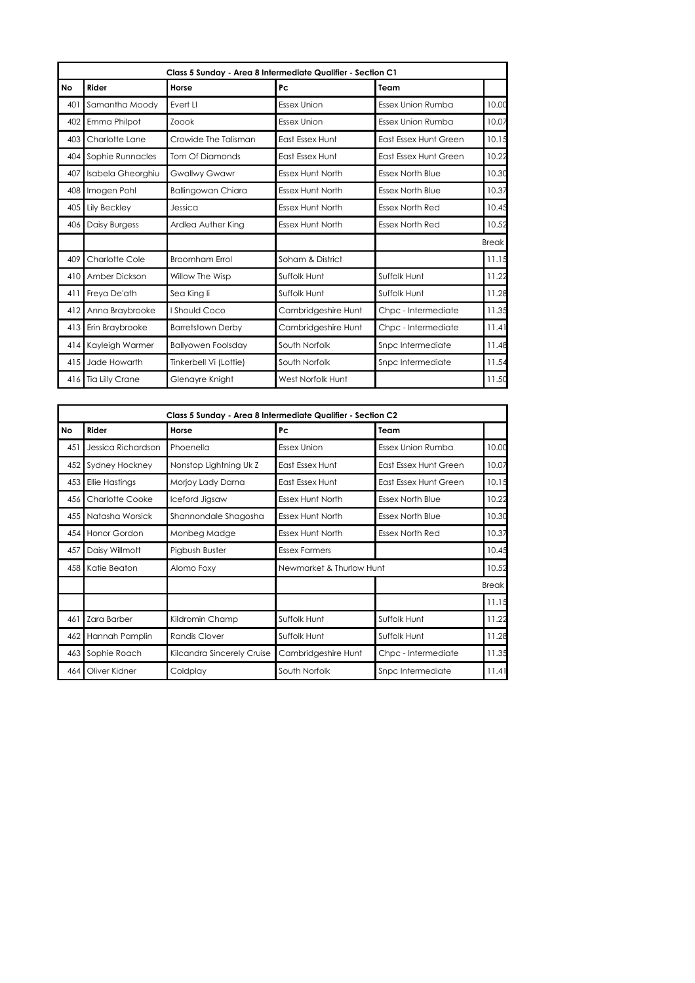|           | Class 5 Sunday - Area 8 Intermediate Qualifier - Section C1 |                           |                         |                          |              |  |  |
|-----------|-------------------------------------------------------------|---------------------------|-------------------------|--------------------------|--------------|--|--|
| <b>No</b> | Rider                                                       | Horse                     | Pc                      | Team                     |              |  |  |
| 401       | Samantha Moody                                              | Evert LI                  | <b>Essex Union</b>      | Essex Union Rumba        | 10.00        |  |  |
| 402       | Emma Philpot                                                | Zoook                     | <b>Essex Union</b>      | <b>Essex Union Rumba</b> | 10.07        |  |  |
| 403       | Charlotte Lane                                              | Crowide The Talisman      | <b>East Essex Hunt</b>  | East Essex Hunt Green    | 10.15        |  |  |
| 404       | Sophie Runnacles                                            | <b>Tom Of Diamonds</b>    | East Essex Hunt         | East Essex Hunt Green    | 10.22        |  |  |
| 407       | Isabela Gheorghiu                                           | <b>Gwallwy Gwawr</b>      | <b>Essex Hunt North</b> | <b>Essex North Blue</b>  | 10.30        |  |  |
| 408       | Imogen Pohl                                                 | <b>Ballingowan Chiara</b> | <b>Essex Hunt North</b> | <b>Essex North Blue</b>  | 10.37        |  |  |
| 405       | Lily Beckley                                                | Jessica                   | <b>Essex Hunt North</b> | <b>Essex North Red</b>   | 10.45        |  |  |
| 406       | <b>Daisy Burgess</b>                                        | Ardlea Auther King        | <b>Essex Hunt North</b> | <b>Essex North Red</b>   | 10.52        |  |  |
|           |                                                             |                           |                         |                          | <b>Break</b> |  |  |
| 409       | Charlotte Cole                                              | <b>Broomham Errol</b>     | Soham & District        |                          | 11.15        |  |  |
| 410       | Amber Dickson                                               | Willow The Wisp           | Suffolk Hunt            | Suffolk Hunt             | 11.22        |  |  |
| 411       | Freya De'ath                                                | Sea King li               | Suffolk Hunt            | Suffolk Hunt             | 11.28        |  |  |
| 412       | Anna Braybrooke                                             | I Should Coco             | Cambridgeshire Hunt     | Chpc - Intermediate      | 11.35        |  |  |
| 413       | Erin Braybrooke                                             | <b>Barretstown Derby</b>  | Cambridgeshire Hunt     | Chpc - Intermediate      | 11.41        |  |  |
| 414       | Kayleigh Warmer                                             | <b>Ballyowen Foolsday</b> | South Norfolk           | Snpc Intermediate        | 11.48        |  |  |
| 415       | Jade Howarth                                                | Tinkerbell Vi (Lottie)    | South Norfolk           | Snpc Intermediate        | 11.54        |  |  |
| 416       | Tia Lilly Crane                                             | Glenayre Knight           | West Norfolk Hunt       |                          | 11.50        |  |  |

|           | Class 5 Sunday - Area 8 Intermediate Qualifier - Section C2 |                            |                          |                              |              |  |  |
|-----------|-------------------------------------------------------------|----------------------------|--------------------------|------------------------------|--------------|--|--|
| <b>No</b> | Rider                                                       | Horse                      | Pc                       | Team                         |              |  |  |
| 451       | Jessica Richardson                                          | Phoenella                  | <b>Essex Union</b>       | Essex Union Rumba            | 10.00        |  |  |
| 452       | Sydney Hockney                                              | Nonstop Lightning Uk Z     | <b>East Essex Hunt</b>   | <b>East Essex Hunt Green</b> | 10.07        |  |  |
| 453       | <b>Ellie Hastings</b>                                       | Morjoy Lady Darna          | <b>East Essex Hunt</b>   | East Essex Hunt Green        | 10.15        |  |  |
| 456       | <b>Charlotte Cooke</b>                                      | Iceford Jigsaw             | <b>Essex Hunt North</b>  | <b>Essex North Blue</b>      | 10.22        |  |  |
| 455       | Natasha Worsick                                             | Shannondale Shagosha       | <b>Essex Hunt North</b>  | <b>Essex North Blue</b>      | 10.30        |  |  |
| 454       | Honor Gordon                                                | Monbeg Madge               | <b>Essex Hunt North</b>  | Essex North Red              | 10.37        |  |  |
| 457       | Daisy Willmott                                              | Pigbush Buster             | <b>Essex Farmers</b>     |                              | 10.45        |  |  |
| 458       | Katie Beaton                                                | Alomo Foxy                 | Newmarket & Thurlow Hunt |                              | 10.52        |  |  |
|           |                                                             |                            |                          |                              | <b>Break</b> |  |  |
|           |                                                             |                            |                          |                              | 11.15        |  |  |
| 461       | Zara Barber                                                 | Kildromin Champ            | Suffolk Hunt             | Suffolk Hunt                 | 11.22        |  |  |
| 462       | Hannah Pamplin                                              | <b>Randis Clover</b>       | Suffolk Hunt             | Suffolk Hunt                 | 11.28        |  |  |
| 463       | Sophie Roach                                                | Kilcandra Sincerely Cruise | Cambridgeshire Hunt      | Chpc - Intermediate          | 11.35        |  |  |
| 464       | Oliver Kidner                                               | Coldplay                   | South Norfolk            | Snpc Intermediate            | 11.41        |  |  |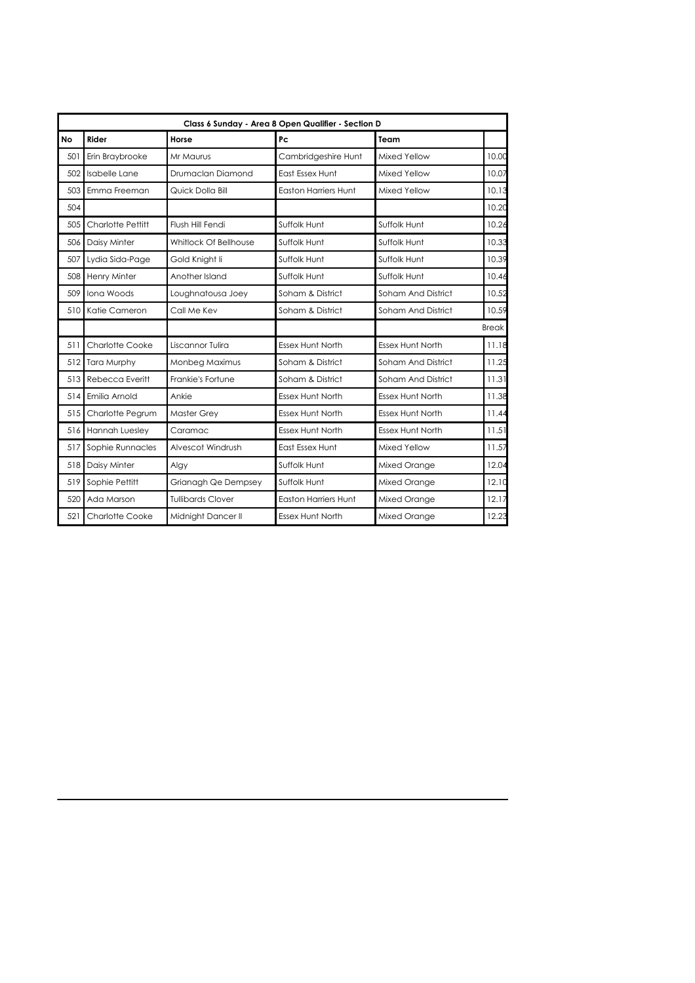|           | Class 6 Sunday - Area 8 Open Qualifier - Section D |                          |                             |                         |              |  |  |
|-----------|----------------------------------------------------|--------------------------|-----------------------------|-------------------------|--------------|--|--|
| <b>No</b> | Rider                                              | Horse                    | Pc                          | Team                    |              |  |  |
| 501       | Erin Braybrooke                                    | Mr Maurus                | Cambridgeshire Hunt         | Mixed Yellow            | 10.00        |  |  |
| 502       | Isabelle Lane                                      | Drumaclan Diamond        | East Essex Hunt             | Mixed Yellow            | 10.07        |  |  |
| 503       | Emma Freeman                                       | Quick Dolla Bill         | <b>Easton Harriers Hunt</b> | Mixed Yellow            | 10.13        |  |  |
| 504       |                                                    |                          |                             |                         | 10.20        |  |  |
| 505       | Charlotte Pettitt                                  | Flush Hill Fendi         | Suffolk Hunt                | Suffolk Hunt            | 10.26        |  |  |
| 506       | Daisy Minter                                       | Whitlock Of Bellhouse    | Suffolk Hunt                | Suffolk Hunt            | 10.33        |  |  |
| 507       | Lydia Sida-Page                                    | Gold Knight li           | Suffolk Hunt                | Suffolk Hunt            | 10.39        |  |  |
| 508       | Henry Minter                                       | Another Island           | Suffolk Hunt                | Suffolk Hunt            | 10.46        |  |  |
| 509       | Iona Woods                                         | Loughnatousa Joey        | Soham & District            | Soham And District      | 10.52        |  |  |
| 510       | Katie Cameron                                      | Call Me Kev              | Soham & District            | Soham And District      | 10.59        |  |  |
|           |                                                    |                          |                             |                         | <b>Break</b> |  |  |
| 511       | <b>Charlotte Cooke</b>                             | Liscannor Tulira         | <b>Essex Hunt North</b>     | <b>Essex Hunt North</b> | 11.18        |  |  |
| 512       | Tara Murphy                                        | Monbeg Maximus           | Soham & District            | Soham And District      | 11.25        |  |  |
| 513       | Rebecca Everitt                                    | Frankie's Fortune        | Soham & District            | Soham And District      | 11.31        |  |  |
| 514       | Emilia Arnold                                      | Ankie                    | <b>Essex Hunt North</b>     | <b>Essex Hunt North</b> | 11.38        |  |  |
| 515       | Charlotte Pegrum                                   | <b>Master Grey</b>       | <b>Essex Hunt North</b>     | <b>Essex Hunt North</b> | 11.44        |  |  |
| 516       | Hannah Luesley                                     | Caramac                  | <b>Essex Hunt North</b>     | <b>Essex Hunt North</b> | 11.51        |  |  |
| 517       | Sophie Runnacles                                   | Alvescot Windrush        | East Essex Hunt             | Mixed Yellow            | 11.57        |  |  |
| 518       | Daisy Minter                                       | Algy                     | Suffolk Hunt                | Mixed Orange            | 12.04        |  |  |
| 519       | Sophie Pettitt                                     | Grianagh Qe Dempsey      | Suffolk Hunt                | Mixed Orange            | 12.10        |  |  |
| 520       | Ada Marson                                         | <b>Tullibards Clover</b> | <b>Easton Harriers Hunt</b> | Mixed Orange            | 12.17        |  |  |
| 521       | <b>Charlotte Cooke</b>                             | Midnight Dancer II       | <b>Essex Hunt North</b>     | Mixed Orange            | 12.23        |  |  |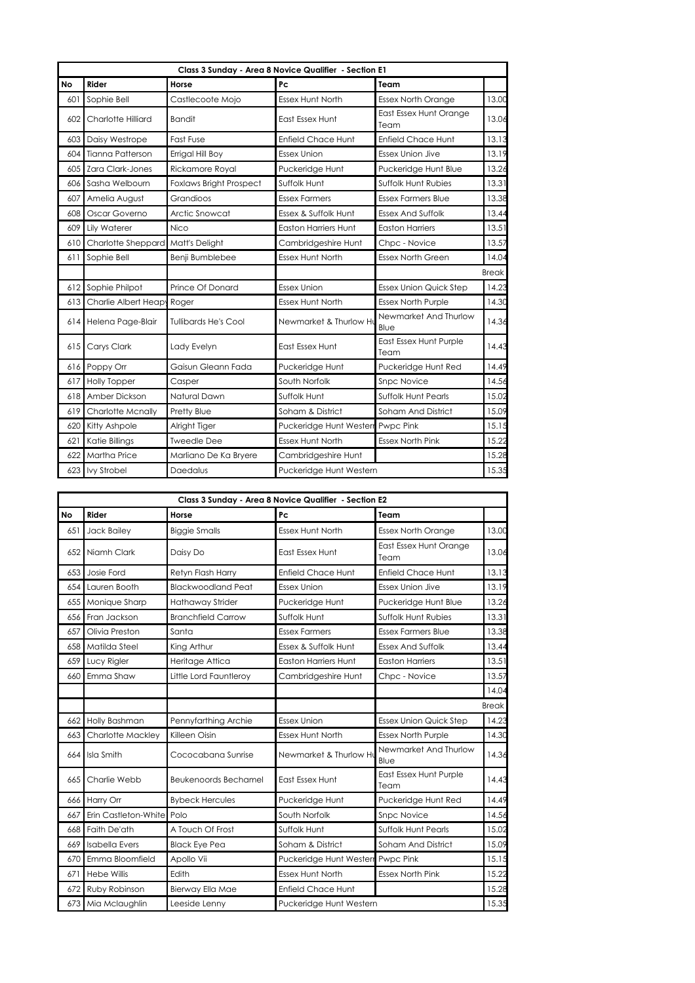|     |                            |                                | Class 3 Sunday - Area 8 Novice Qualifier - Section E1 |                                |              |
|-----|----------------------------|--------------------------------|-------------------------------------------------------|--------------------------------|--------------|
| No  | Rider                      | Horse                          | Pc                                                    | Team                           |              |
| 601 | Sophie Bell                | Castlecoote Mojo               | <b>Essex Hunt North</b>                               | <b>Essex North Orange</b>      | 13.00        |
| 602 | Charlotte Hilliard         | <b>Bandit</b>                  | East Essex Hunt                                       | East Essex Hunt Orange<br>Team | 13.06        |
| 603 | Daisy Westrope             | Fast Fuse                      | <b>Enfield Chace Hunt</b>                             | <b>Enfield Chace Hunt</b>      | 13.13        |
| 604 | <b>Tianna Patterson</b>    | Errigal Hill Boy               | <b>Essex Union</b>                                    | <b>Essex Union Jive</b>        | 13.19        |
| 605 | Zara Clark-Jones           | Rickamore Royal                | Puckeridge Hunt                                       | Puckeridge Hunt Blue           | 13.26        |
| 606 | Sasha Welbourn             | <b>Foxlaws Bright Prospect</b> | Suffolk Hunt                                          | Suffolk Hunt Rubies            | 13.31        |
| 607 | Amelia August              | Grandioos                      | <b>Essex Farmers</b>                                  | <b>Essex Farmers Blue</b>      | 13.38        |
| 608 | Oscar Governo              | Arctic Snowcat                 | Essex & Suffolk Hunt                                  | <b>Essex And Suffolk</b>       | 13.44        |
| 609 | Lily Waterer               | Nico                           | <b>Easton Harriers Hunt</b>                           | <b>Easton Harriers</b>         | 13.51        |
| 610 | Charlotte Sheppard         | Matt's Delight                 | Cambridgeshire Hunt                                   | Chpc - Novice                  | 13.57        |
| 611 | Sophie Bell                | Benji Bumblebee                | <b>Essex Hunt North</b>                               | <b>Essex North Green</b>       | 14.04        |
|     |                            |                                |                                                       |                                | <b>Break</b> |
| 612 | Sophie Philpot             | Prince Of Donard               | <b>Essex Union</b>                                    | <b>Essex Union Quick Step</b>  | 14.23        |
| 613 | Charlie Albert Heapy Roger |                                | <b>Essex Hunt North</b>                               | <b>Essex North Purple</b>      | 14.30        |
| 614 | Helena Page-Blair          | <b>Tullibards He's Cool</b>    | Newmarket & Thurlow Ht                                | Newmarket And Thurlow<br>Blue  | 14.36        |
| 615 | Carys Clark                | Lady Evelyn                    | East Essex Hunt                                       | East Essex Hunt Purple<br>Team | 14.43        |
| 616 | Poppy Orr                  | Gaisun Gleann Fada             | Puckeridge Hunt                                       | Puckeridge Hunt Red            | 14.49        |
| 617 | <b>Holly Topper</b>        | Casper                         | South Norfolk                                         | <b>Snpc Novice</b>             | 14.56        |
| 618 | Amber Dickson              | Natural Dawn                   | Suffolk Hunt                                          | <b>Suffolk Hunt Pearls</b>     | 15.02        |
| 619 | <b>Charlotte Mcnally</b>   | Pretty Blue                    | Soham & District                                      | Soham And District             | 15.09        |
| 620 | Kitty Ashpole              | Alright Tiger                  | Puckeridge Hunt Westerr                               | Pwpc Pink                      | 15.15        |
| 621 | Katie Billings             | <b>Tweedle Dee</b>             | <b>Essex Hunt North</b>                               | <b>Essex North Pink</b>        | 15.22        |
| 622 | <b>Martha Price</b>        | Marliano De Ka Bryere          | Cambridgeshire Hunt                                   |                                | 15.28        |
|     | 623 Ivy Strobel            | Daedalus                       | Puckeridge Hunt Western                               |                                | 15.35        |

|     | Class 3 Sunday - Area 8 Novice Qualifier - Section E2 |                             |                             |                                |              |  |  |  |
|-----|-------------------------------------------------------|-----------------------------|-----------------------------|--------------------------------|--------------|--|--|--|
| No  | Rider                                                 | Horse                       | Pc                          | Team                           |              |  |  |  |
| 651 | Jack Bailey                                           | <b>Biggie Smalls</b>        | <b>Essex Hunt North</b>     | <b>Essex North Orange</b>      | 13.00        |  |  |  |
| 652 | Niamh Clark                                           | Daisy Do                    | East Essex Hunt             | East Essex Hunt Orange<br>Team | 13.06        |  |  |  |
| 653 | Josie Ford                                            | Retyn Flash Harry           | <b>Enfield Chace Hunt</b>   | <b>Enfield Chace Hunt</b>      | 13.13        |  |  |  |
| 654 | Lauren Booth                                          | <b>Blackwoodland Peat</b>   | <b>Essex Union</b>          | <b>Essex Union Jive</b>        | 13.19        |  |  |  |
| 655 | Monique Sharp                                         | Hathaway Strider            | Puckeridge Hunt             | Puckeridge Hunt Blue           | 13.26        |  |  |  |
| 656 | Fran Jackson                                          | <b>Branchfield Carrow</b>   | Suffolk Hunt                | <b>Suffolk Hunt Rubies</b>     | 13.31        |  |  |  |
| 657 | Olivia Preston                                        | Santa                       | <b>Essex Farmers</b>        | <b>Essex Farmers Blue</b>      | 13.38        |  |  |  |
| 658 | Matilda Steel                                         | King Arthur                 | Essex & Suffolk Hunt        | <b>Essex And Suffolk</b>       | 13.44        |  |  |  |
| 659 | Lucy Rigler                                           | Heritage Attica             | <b>Easton Harriers Hunt</b> | <b>Easton Harriers</b>         | 13.51        |  |  |  |
| 660 | Emma Shaw                                             | Little Lord Fauntleroy      | Cambridgeshire Hunt         | Chpc - Novice                  | 13.57        |  |  |  |
|     |                                                       |                             |                             |                                | 14.04        |  |  |  |
|     |                                                       |                             |                             |                                | <b>Break</b> |  |  |  |
| 662 | Holly Bashman                                         | Pennyfarthing Archie        | <b>Essex Union</b>          | <b>Essex Union Quick Step</b>  | 14.23        |  |  |  |
| 663 | Charlotte Mackley                                     | Killeen Oisin               | Essex Hunt North            | <b>Essex North Purple</b>      | 14.30        |  |  |  |
| 664 | Isla Smith                                            | Cococabana Sunrise          | Newmarket & Thurlow Ht      | Newmarket And Thurlow<br>Blue  | 14.36        |  |  |  |
| 665 | Charlie Webb                                          | <b>Beukenoords Bechamel</b> | East Essex Hunt             | East Essex Hunt Purple<br>Team | 14.43        |  |  |  |
| 666 | Harry Orr                                             | <b>Bybeck Hercules</b>      | Puckeridge Hunt             | Puckeridge Hunt Red            | 14.49        |  |  |  |
| 667 | Erin Castleton-White Polo                             |                             | South Norfolk               | <b>Snpc Novice</b>             | 14.56        |  |  |  |
| 668 | Faith De'ath                                          | A Touch Of Frost            | Suffolk Hunt                | <b>Suffolk Hunt Pearls</b>     | 15.02        |  |  |  |
| 669 | <b>Isabella Evers</b>                                 | <b>Black Eye Pea</b>        | Soham & District            | Soham And District             | 15.09        |  |  |  |
| 670 | Emma Bloomfield                                       | Apollo Vii                  | Puckeridge Hunt Westerr     | Pwpc Pink                      | 15.15        |  |  |  |
| 671 | <b>Hebe Willis</b>                                    | Edith                       | <b>Essex Hunt North</b>     | <b>Essex North Pink</b>        | 15.22        |  |  |  |
| 672 | Ruby Robinson                                         | Bierway Ella Mae            | <b>Enfield Chace Hunt</b>   |                                | 15.28        |  |  |  |
| 673 | Mia Mclaughlin                                        | Leeside Lenny               | Puckeridge Hunt Western     |                                | 15.35        |  |  |  |